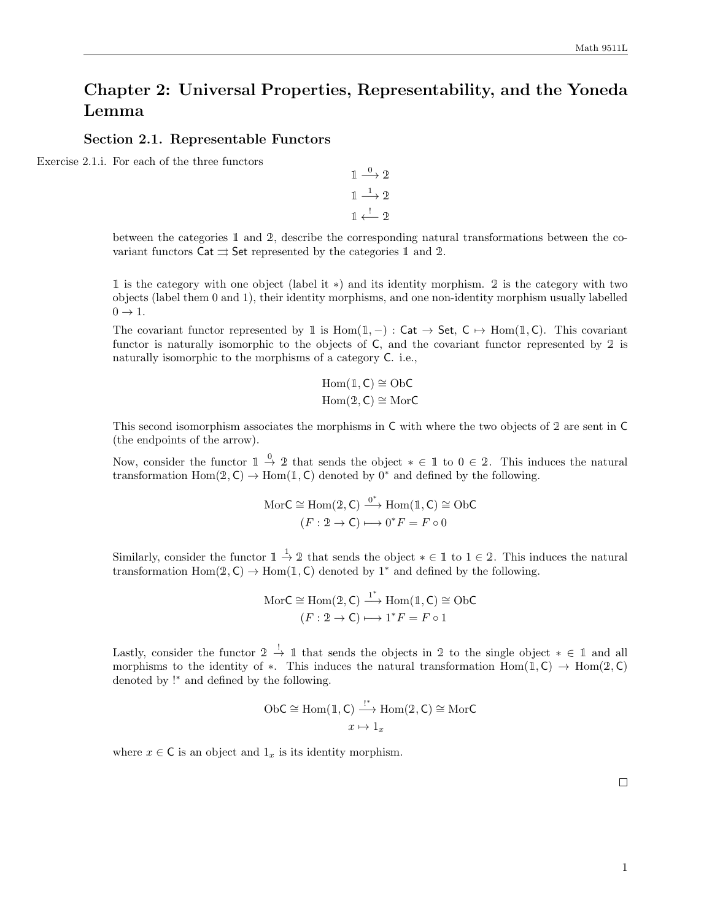# Chapter 2: Universal Properties, Representability, and the Yoneda Lemma

### Section 2.1. Representable Functors

Exercise 2.1.i. For each of the three functors

$$
\begin{array}{c}\n1 \stackrel{0}{\longrightarrow} 2 \\
1 \stackrel{1}{\longrightarrow} 2 \\
1 \stackrel{!}{\longleftarrow} 2\n\end{array}
$$

between the categories 1 and 2, describe the corresponding natural transformations between the covariant functors  $\text{Cat} \rightrightarrows \text{Set}$  represented by the categories 1 and 2.

1 is the category with one object (label it ∗) and its identity morphism. 2 is the category with two objects (label them 0 and 1), their identity morphisms, and one non-identity morphism usually labelled  $0 \rightarrow 1$ .

The covariant functor represented by 1 is Hom(1, -) : Cat  $\rightarrow$  Set, C  $\rightarrow$  Hom(1, C). This covariant functor is naturally isomorphic to the objects of C, and the covariant functor represented by 2 is naturally isomorphic to the morphisms of a category C. i.e.,

$$
Hom(1, C) \cong ObC
$$

$$
Hom(2, C) \cong MorC
$$

This second isomorphism associates the morphisms in C with where the two objects of 2 are sent in C (the endpoints of the arrow).

Now, consider the functor  $1 \stackrel{0}{\rightarrow} 2$  that sends the object  $* \in \mathbb{1}$  to  $0 \in \mathbb{2}$ . This induces the natural transformation Hom(2, C) → Hom(1, C) denoted by 0<sup>\*</sup> and defined by the following.

$$
MorC \cong Hom(2, C) \xrightarrow{0^*} Hom(1, C) \cong ObC
$$

$$
(F: 2 \to C) \longmapsto 0^*F = F \circ 0
$$

Similarly, consider the functor  $1 \stackrel{1}{\rightarrow} 2$  that sends the object  $* \in \mathbb{I}$  to  $1 \in 2$ . This induces the natural transformation  $Hom(2, C) \to Hom(1, C)$  denoted by 1<sup>∗</sup> and defined by the following.

$$
MorC \cong Hom(2, C) \xrightarrow{1^*} Hom(1, C) \cong ObC
$$

$$
(F: 2 \to C) \longmapsto 1^*F = F \circ 1
$$

Lastly, consider the functor  $2 \stackrel{!}{\rightarrow} 1$  that sends the objects in 2 to the single object  $* \in 1$  and all morphisms to the identity of  $\ast$ . This induces the natural transformation Hom(1, C)  $\rightarrow$  Hom(2, C) denoted by !<sup>∗</sup> and defined by the following.

ObC 
$$
\cong
$$
 Hom(1, C)  $\xrightarrow{t^*}$  Hom(2, C)  $\cong$  MorC  
 $x \mapsto 1_x$ 

where  $x \in \mathsf{C}$  is an object and  $1_x$  is its identity morphism.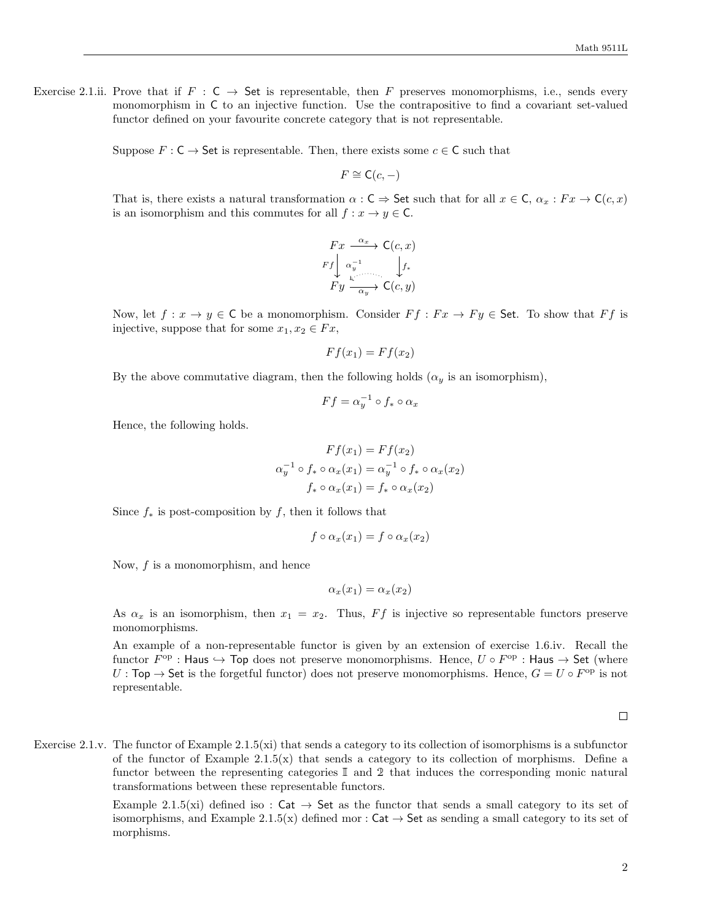Exercise 2.1.ii. Prove that if  $F : C \to$  Set is representable, then F preserves monomorphisms, i.e., sends every monomorphism in C to an injective function. Use the contrapositive to find a covariant set-valued functor defined on your favourite concrete category that is not representable.

Suppose  $F : \mathsf{C} \to \mathsf{Set}$  is representable. Then, there exists some  $c \in \mathsf{C}$  such that

 $F \cong \mathsf{C}(c, -)$ 

That is, there exists a natural transformation  $\alpha$ : C  $\Rightarrow$  Set such that for all  $x \in \mathsf{C}$ ,  $\alpha_x : F x \to \mathsf{C}(c, x)$ is an isomorphism and this commutes for all  $f: x \to y \in \mathsf{C}$ .

$$
\begin{array}{ccc}\nFx & \xrightarrow{\alpha_x} & \mathsf{C}(c, x) \\
Ff & \xrightarrow{\alpha_y^{-1}} & \downarrow f_* \\
Fy & \xrightarrow{\mathsf{C}} & \mathsf{C}(c, y)\n\end{array}
$$

Now, let  $f: x \to y \in \mathsf{C}$  be a monomorphism. Consider  $F f : F x \to F y \in \mathsf{Set}$ . To show that  $F f$  is injective, suppose that for some  $x_1, x_2 \in Fx$ ,

$$
Ff(x_1) = Ff(x_2)
$$

By the above commutative diagram, then the following holds  $(\alpha_y$  is an isomorphism),

$$
Ff = \alpha_y^{-1} \circ f_* \circ \alpha_x
$$

Hence, the following holds.

$$
Ff(x_1) = Ff(x_2)
$$

$$
\alpha_y^{-1} \circ f_* \circ \alpha_x(x_1) = \alpha_y^{-1} \circ f_* \circ \alpha_x(x_2)
$$

$$
f_* \circ \alpha_x(x_1) = f_* \circ \alpha_x(x_2)
$$

Since  $f_*$  is post-composition by f, then it follows that

$$
f \circ \alpha_x(x_1) = f \circ \alpha_x(x_2)
$$

Now,  $f$  is a monomorphism, and hence

$$
\alpha_x(x_1) = \alpha_x(x_2)
$$

As  $\alpha_x$  is an isomorphism, then  $x_1 = x_2$ . Thus, Ff is injective so representable functors preserve monomorphisms.

An example of a non-representable functor is given by an extension of exercise 1.6.iv. Recall the functor  $F^{\rm op}$  : Haus  $\hookrightarrow$  Top does not preserve monomorphisms. Hence,  $U \circ F^{\rm op}$  : Haus  $\to$  Set (where  $U: Top \to Set$  is the forgetful functor) does not preserve monomorphisms. Hence,  $G = U \circ F^{\rm op}$  is not representable.

 $\Box$ 

Exercise 2.1.v. The functor of Example 2.1.5(xi) that sends a category to its collection of isomorphisms is a subfunctor of the functor of Example  $2.1.5(x)$  that sends a category to its collection of morphisms. Define a functor between the representing categories I and 2 that induces the corresponding monic natural transformations between these representable functors.

> Example 2.1.5(xi) defined iso :  $Cat \rightarrow Set$  as the functor that sends a small category to its set of isomorphisms, and Example 2.1.5(x) defined mor :  $Cat \rightarrow Set$  as sending a small category to its set of morphisms.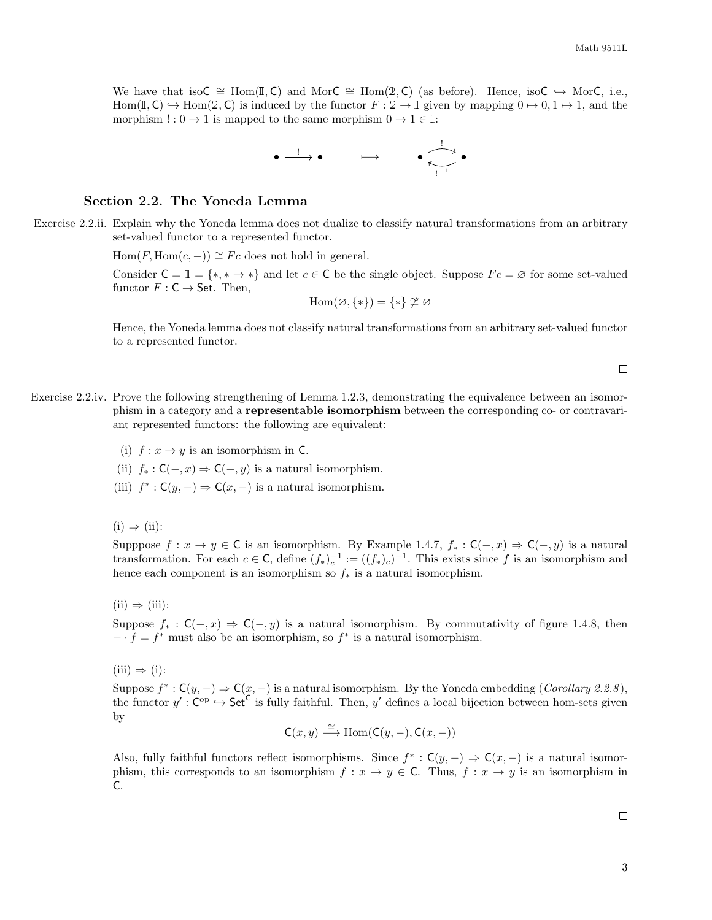We have that isoC  $\cong$  Hom(I, C) and MorC  $\cong$  Hom(2, C) (as before). Hence, isoC  $\hookrightarrow$  MorC, i.e., Hom(I, C)  $\rightarrow$  Hom(2, C) is induced by the functor  $F: 2 \rightarrow \mathbb{I}$  given by mapping  $0 \rightarrow 0, 1 \rightarrow 1$ , and the morphism  $! : 0 \to 1$  is mapped to the same morphism  $0 \to 1 \in \mathbb{I}$ :



## Section 2.2. The Yoneda Lemma

Exercise 2.2.ii. Explain why the Yoneda lemma does not dualize to classify natural transformations from an arbitrary set-valued functor to a represented functor.

 $Hom(F, Hom(c, -)) \cong Fc$  does not hold in general.

Consider  $C = \mathbb{1} = \{*, * \to * \}$  and let  $c \in C$  be the single object. Suppose  $Fc = \emptyset$  for some set-valued functor  $F: \mathsf{C} \to \mathsf{Set}$ . Then,

$$
\mathrm{Hom}(\varnothing,\{*\})=\{*\}\ncong\varnothing
$$

Hence, the Yoneda lemma does not classify natural transformations from an arbitrary set-valued functor to a represented functor.

- Exercise 2.2.iv. Prove the following strengthening of Lemma 1.2.3, demonstrating the equivalence between an isomorphism in a category and a representable isomorphism between the corresponding co- or contravariant represented functors: the following are equivalent:
	- (i)  $f: x \to y$  is an isomorphism in C.
	- (ii)  $f_* : \mathsf{C}(-,x) \Rightarrow \mathsf{C}(-,y)$  is a natural isomorphism.
	- (iii)  $f^*: \mathsf{C}(y, -) \Rightarrow \mathsf{C}(x, -)$  is a natural isomorphism.

 $(i) \Rightarrow (ii)$ :

Supppose  $f: x \to y \in \mathbb{C}$  is an isomorphism. By Example 1.4.7,  $f_* : \mathbb{C}(-,x) \Rightarrow \mathbb{C}(-,y)$  is a natural transformation. For each  $c \in \mathsf{C}$ , define  $(f_*)_c^{-1} := ((f_*)_c)^{-1}$ . This exists since f is an isomorphism and hence each component is an isomorphism so  $f_*$  is a natural isomorphism.

 $(ii) \Rightarrow (iii):$ 

Suppose  $f_* : \mathsf{C}(-,x) \Rightarrow \mathsf{C}(-,y)$  is a natural isomorphism. By commutativity of figure 1.4.8, then  $- \cdot f = f^*$  must also be an isomorphism, so  $f^*$  is a natural isomorphism.

 $(iii) \Rightarrow (i):$ 

Suppose  $f^*: \mathsf{C}(y, -) \Rightarrow \mathsf{C}(x, -)$  is a natural isomorphism. By the Yoneda embedding (*Corollary 2.2.8*), the functor  $y' : \mathsf{C}^{op} \hookrightarrow \mathsf{Set}^{\mathsf{C}}$  is fully faithful. Then,  $y'$  defines a local bijection between hom-sets given by

$$
C(x, y) \xrightarrow{\cong} \text{Hom}(C(y, -), C(x, -))
$$

Also, fully faithful functors reflect isomorphisms. Since  $f^* : C(y, -) \Rightarrow C(x, -)$  is a natural isomorphism, this corresponds to an isomorphism  $f: x \to y \in C$ . Thus,  $f: x \to y$  is an isomorphism in C.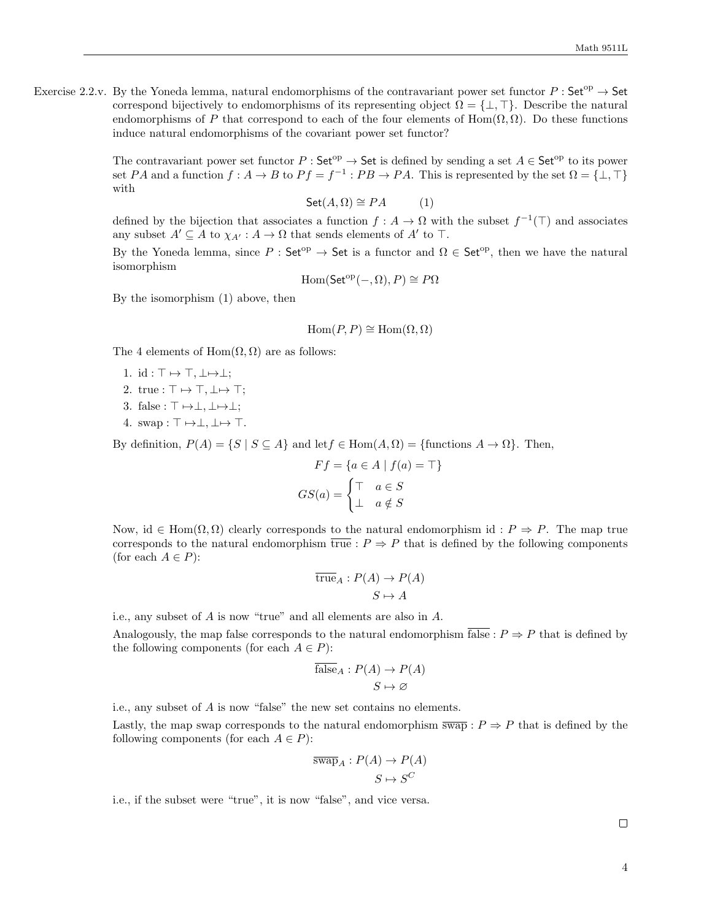Exercise 2.2.v. By the Yoneda lemma, natural endomorphisms of the contravariant power set functor  $P : Set^{op} \to Set$ correspond bijectively to endomorphisms of its representing object  $\Omega = \{\perp, \top\}$ . Describe the natural endomorphisms of P that correspond to each of the four elements of Hom( $\Omega$ ,  $\Omega$ ). Do these functions induce natural endomorphisms of the covariant power set functor?

> The contravariant power set functor  $P : \mathsf{Set}^{\mathrm{op}} \to \mathsf{Set}$  is defined by sending a set  $A \in \mathsf{Set}^{\mathrm{op}}$  to its power set PA and a function  $f: A \to B$  to  $Pf = f^{-1}: PB \to PA$ . This is represented by the set  $\Omega = \{\perp, \top\}$ with

$$
Set(A, \Omega) \cong PA \qquad (1)
$$

defined by the bijection that associates a function  $f: A \to \Omega$  with the subset  $f^{-1}(\top)$  and associates any subset  $A' \subseteq A$  to  $\chi_{A'} : A \to \Omega$  that sends elements of  $A'$  to  $\top$ .

By the Yoneda lemma, since  $P : \mathsf{Set}^{\mathrm{op}} \to \mathsf{Set}$  is a functor and  $\Omega \in \mathsf{Set}^{\mathrm{op}}$ , then we have the natural isomorphism

$$
Hom(\mathsf{Set}^{op}(-, \Omega), P) \cong P\Omega
$$

By the isomorphism (1) above, then

$$
\operatorname{Hom}(P, P) \cong \operatorname{Hom}(\Omega, \Omega)
$$

The 4 elements of  $Hom(\Omega, \Omega)$  are as follows:

- 1. id :  $\top \mapsto \top$ ,  $\bot \mapsto \bot$ ;
- 2. true :  $\top \mapsto \top, \bot \mapsto \top;$
- 3. false :  $\top \mapsto \bot, \bot \mapsto \bot;$
- 4. swap :  $\top \mapsto \bot, \bot \mapsto \top$ .

By definition,  $P(A) = \{S \mid S \subseteq A\}$  and let  $f \in \text{Hom}(A, \Omega) = \{\text{functions } A \to \Omega\}$ . Then,

$$
Ff = \{a \in A \mid f(a) = \top\}
$$

$$
GS(a) = \begin{cases} \top & a \in S \\ \bot & a \notin S \end{cases}
$$

Now, id  $\in$  Hom $(\Omega, \Omega)$  clearly corresponds to the natural endomorphism id :  $P \Rightarrow P$ . The map true corresponds to the natural endomorphism  $\overline{true}: P \Rightarrow P$  that is defined by the following components (for each  $A \in P$ ):

$$
\overline{\text{true}}_A: P(A) \to P(A)
$$

$$
S \mapsto A
$$

i.e., any subset of A is now "true" and all elements are also in A.

Analogously, the map false corresponds to the natural endomorphism  $\overline{\text{false}} : P \Rightarrow P$  that is defined by the following components (for each  $A \in P$ ):

$$
\overline{\text{false}}_A: P(A) \to P(A) S \mapsto \varnothing
$$

i.e., any subset of A is now "false" the new set contains no elements.

Lastly, the map swap corresponds to the natural endomorphism  $\overline{swap}: P \Rightarrow P$  that is defined by the following components (for each  $A \in P$ ):

$$
\frac{\overline{\text{swap}}_A : P(A) \to P(A)}{S \mapsto S^C}
$$

i.e., if the subset were "true", it is now "false", and vice versa.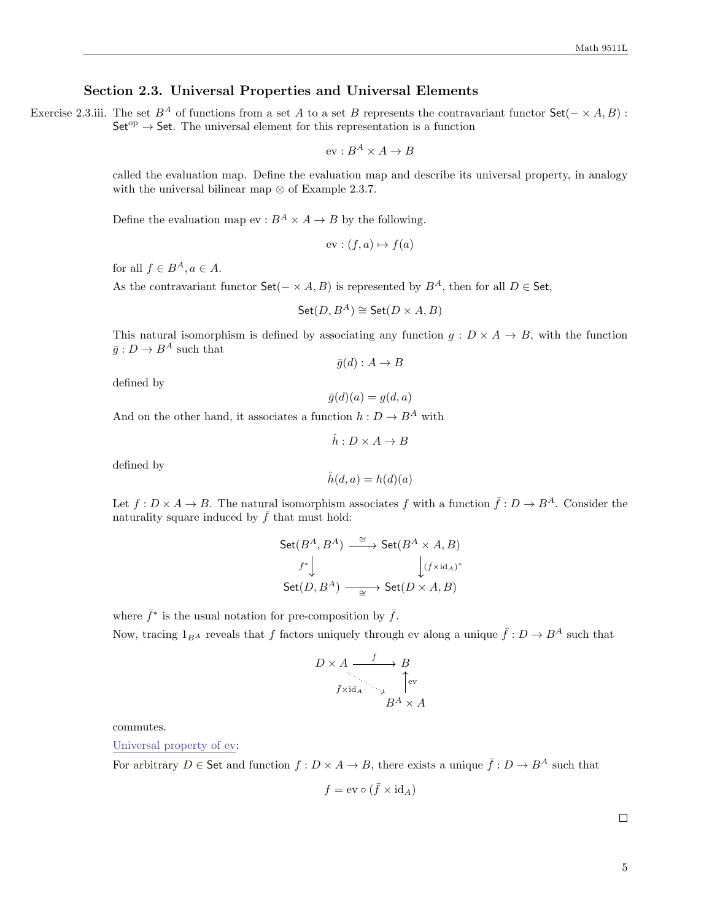## Section 2.3. Universal Properties and Universal Elements

Exercise 2.3.iii. The set  $B^A$  of functions from a set A to a set B represents the contravariant functor  $Set(- \times A, B)$ :  $Set^{\text{op}} \to Set$ . The universal element for this representation is a function

$$
ev: B^A \times A \to B
$$

called the evaluation map. Define the evaluation map and describe its universal property, in analogy with the universal bilinear map  $\otimes$  of Example 2.3.7.

Define the evaluation map  $ev : B^A \times A \to B$  by the following.

$$
ev: (f, a) \mapsto f(a)
$$

for all  $f \in B^A, a \in A$ .

As the contravariant functor Set( $-\times A$ , B) is represented by  $B^A$ , then for all  $D \in$  Set,

$$
\mathsf{Set}(D,B^A)\cong \mathsf{Set}(D\times A,B)
$$

This natural isomorphism is defined by associating any function  $g: D \times A \rightarrow B$ , with the function  $\bar{q}: D \to B^A$  such that

$$
\bar{g}(d): A \to B
$$

defined by

$$
\bar{g}(d)(a) = g(d, a)
$$

And on the other hand, it associates a function  $h: D \to B^A$  with

$$
\hat{h}: D \times A \to B
$$

defined by

$$
\hat{h}(d,a) = h(d)(a)
$$

Let  $f: D \times A \to B$ . The natural isomorphism associates f with a function  $\bar{f}: D \to B^A$ . Consider the naturality square induced by  $\bar{f}$  that must hold:

$$
\begin{array}{ccc}\mathsf{Set}(B^A,B^A) & \xrightarrow{\cong} & \mathsf{Set}(B^A \times A,B) \\
\downarrow & & \downarrow & (\bar{f} \times \mathrm{id}_A)^* \\
\mathsf{Set}(D,B^A) & \xrightarrow{\cong} & \mathsf{Set}(D \times A,B)\n\end{array}
$$

where  $\bar{f}^*$  is the usual notation for pre-composition by  $\bar{f}$ .

Now, tracing  $1_{BA}$  reveals that f factors uniquely through ev along a unique  $\bar{f}: D \to B^A$  such that

$$
D \times A \xrightarrow{f} B
$$
  
\n
$$
\uparrow \text{ev}
$$
  
\n
$$
\uparrow \text{ev}
$$
  
\n
$$
B^A \times A
$$

commutes.

Universal property of ev:

For arbitrary  $D \in$  Set and function  $f : D \times A \to B$ , there exists a unique  $\bar{f} : D \to B^A$  such that

$$
f = \mathrm{ev} \circ (\bar{f} \times \mathrm{id}_A)
$$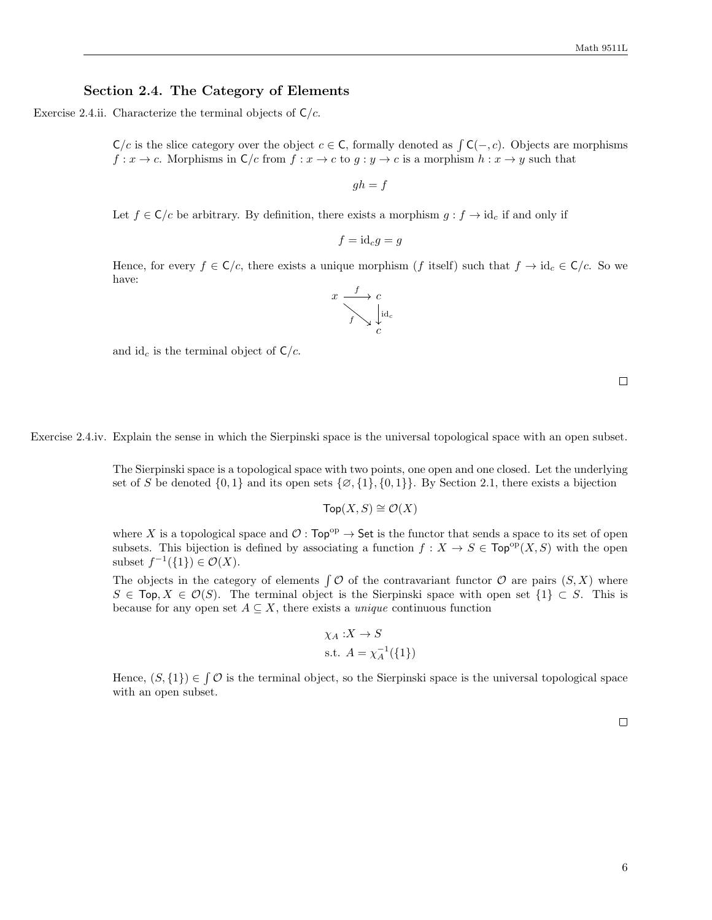#### Section 2.4. The Category of Elements

Exercise 2.4.ii. Characterize the terminal objects of  $\mathsf{C}/c$ .

 $\mathsf{C}/c$  is the slice category over the object  $c \in \mathsf{C}$ , formally denoted as  $\int \mathsf{C}(-, c)$ . Objects are morphisms  $f: x \to c$ . Morphisms in  $\mathsf{C}/c$  from  $f: x \to c$  to  $g: y \to c$  is a morphism  $h: x \to y$  such that

 $gh = f$ 

Let  $f \in \mathsf{C}/c$  be arbitrary. By definition, there exists a morphism  $g : f \to id_c$  if and only if

$$
f = id_c g = g
$$

Hence, for every  $f \in \mathsf{C}/c$ , there exists a unique morphism (f itself) such that  $f \to id_c \in \mathsf{C}/c$ . So we have:



and id<sub>c</sub> is the terminal object of  $\mathsf{C}/c$ .

 $\Box$ 

Exercise 2.4.iv. Explain the sense in which the Sierpinski space is the universal topological space with an open subset.

The Sierpinski space is a topological space with two points, one open and one closed. Let the underlying set of S be denoted  $\{0,1\}$  and its open sets  $\{\emptyset,\{1\},\{0,1\}\}\.$  By Section 2.1, there exists a bijection

$$
\mathsf{Top}(X,S)\cong\mathcal{O}(X)
$$

where X is a topological space and  $\mathcal{O}:$  Top<sup>op</sup>  $\rightarrow$  Set is the functor that sends a space to its set of open subsets. This bijection is defined by associating a function  $f: X \to S \in \text{Top}^{\text{op}}(X, S)$  with the open subset  $f^{-1}(\{1\}) \in \mathcal{O}(X)$ .

The objects in the category of elements  $\int \mathcal{O}$  of the contravariant functor  $\mathcal{O}$  are pairs  $(S, X)$  where  $S \in \text{Top}, X \in \mathcal{O}(S)$ . The terminal object is the Sierpinski space with open set  $\{1\} \subset S$ . This is because for any open set  $A \subseteq X$ , there exists a *unique* continuous function

$$
\chi_A: X \to S
$$
  
s.t.  $A = \chi_A^{-1}(\{1\})$ 

Hence,  $(S, \{1\}) \in \mathcal{O}$  is the terminal object, so the Sierpinski space is the universal topological space with an open subset.